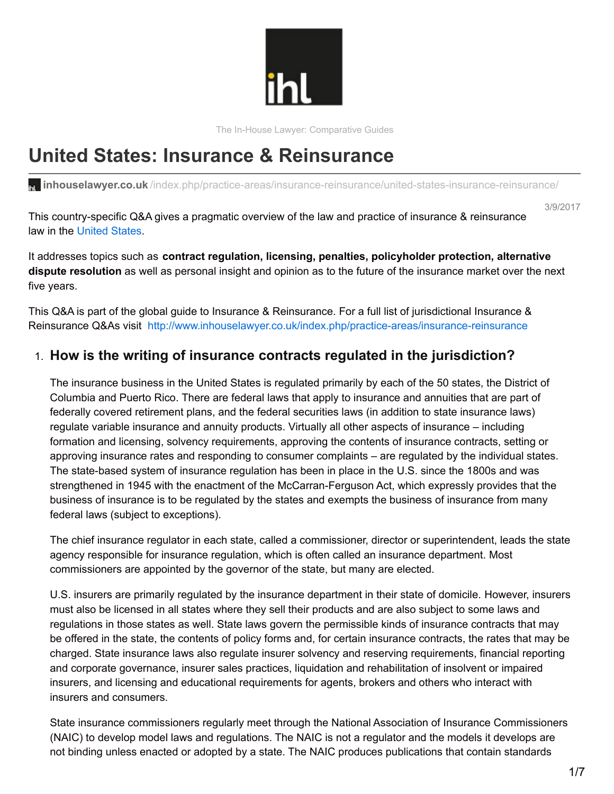

The In-House Lawyer: Comparative Guides

# **United States: Insurance & Reinsurance**

**inhouselawyer.co.uk**[/index.php/practice-areas/insurance-reinsurance/united-states-insurance-reinsurance/](http://www.inhouselawyer.co.uk/index.php/practice-areas/insurance-reinsurance/united-states-insurance-reinsurance/)

This country-specific Q&A gives a pragmatic overview of the law and practice of insurance & reinsurance law in the [United](http://www.inhouselawyer.co.uk/index.php/regions/north-america/united-states-2/) States.

It addresses topics such as **contract regulation, licensing, penalties, policyholder protection, alternative dispute resolution** as well as personal insight and opinion as to the future of the insurance market over the next five years.

This Q&A is part of the global guide to Insurance & Reinsurance. For a full list of jurisdictional Insurance & Reinsurance Q&As visit <http://www.inhouselawyer.co.uk/index.php/practice-areas/insurance-reinsurance>

### 1. **How is the writing of insurance contracts regulated in the jurisdiction?**

The insurance business in the United States is regulated primarily by each of the 50 states, the District of Columbia and Puerto Rico. There are federal laws that apply to insurance and annuities that are part of federally covered retirement plans, and the federal securities laws (in addition to state insurance laws) regulate variable insurance and annuity products. Virtually all other aspects of insurance – including formation and licensing, solvency requirements, approving the contents of insurance contracts, setting or approving insurance rates and responding to consumer complaints – are regulated by the individual states. The state-based system of insurance regulation has been in place in the U.S. since the 1800s and was strengthened in 1945 with the enactment of the McCarran-Ferguson Act, which expressly provides that the business of insurance is to be regulated by the states and exempts the business of insurance from many federal laws (subject to exceptions).

The chief insurance regulator in each state, called a commissioner, director or superintendent, leads the state agency responsible for insurance regulation, which is often called an insurance department. Most commissioners are appointed by the governor of the state, but many are elected.

U.S. insurers are primarily regulated by the insurance department in their state of domicile. However, insurers must also be licensed in all states where they sell their products and are also subject to some laws and regulations in those states as well. State laws govern the permissible kinds of insurance contracts that may be offered in the state, the contents of policy forms and, for certain insurance contracts, the rates that may be charged. State insurance laws also regulate insurer solvency and reserving requirements, financial reporting and corporate governance, insurer sales practices, liquidation and rehabilitation of insolvent or impaired insurers, and licensing and educational requirements for agents, brokers and others who interact with insurers and consumers.

State insurance commissioners regularly meet through the National Association of Insurance Commissioners (NAIC) to develop model laws and regulations. The NAIC is not a regulator and the models it develops are not binding unless enacted or adopted by a state. The NAIC produces publications that contain standards

3/9/2017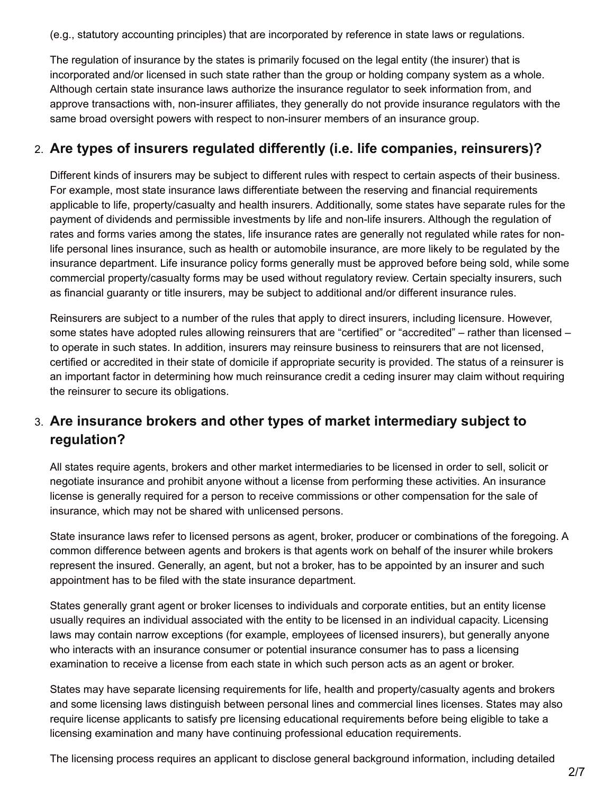(e.g., statutory accounting principles) that are incorporated by reference in state laws or regulations.

The regulation of insurance by the states is primarily focused on the legal entity (the insurer) that is incorporated and/or licensed in such state rather than the group or holding company system as a whole. Although certain state insurance laws authorize the insurance regulator to seek information from, and approve transactions with, non-insurer affiliates, they generally do not provide insurance regulators with the same broad oversight powers with respect to non-insurer members of an insurance group.

#### 2. **Are types of insurers regulated differently (i.e. life companies, reinsurers)?**

Different kinds of insurers may be subject to different rules with respect to certain aspects of their business. For example, most state insurance laws differentiate between the reserving and financial requirements applicable to life, property/casualty and health insurers. Additionally, some states have separate rules for the payment of dividends and permissible investments by life and non-life insurers. Although the regulation of rates and forms varies among the states, life insurance rates are generally not regulated while rates for nonlife personal lines insurance, such as health or automobile insurance, are more likely to be regulated by the insurance department. Life insurance policy forms generally must be approved before being sold, while some commercial property/casualty forms may be used without regulatory review. Certain specialty insurers, such as financial guaranty or title insurers, may be subject to additional and/or different insurance rules.

Reinsurers are subject to a number of the rules that apply to direct insurers, including licensure. However, some states have adopted rules allowing reinsurers that are "certified" or "accredited" – rather than licensed – to operate in such states. In addition, insurers may reinsure business to reinsurers that are not licensed, certified or accredited in their state of domicile if appropriate security is provided. The status of a reinsurer is an important factor in determining how much reinsurance credit a ceding insurer may claim without requiring the reinsurer to secure its obligations.

## 3. **Are insurance brokers and other types of market intermediary subject to regulation?**

All states require agents, brokers and other market intermediaries to be licensed in order to sell, solicit or negotiate insurance and prohibit anyone without a license from performing these activities. An insurance license is generally required for a person to receive commissions or other compensation for the sale of insurance, which may not be shared with unlicensed persons.

State insurance laws refer to licensed persons as agent, broker, producer or combinations of the foregoing. A common difference between agents and brokers is that agents work on behalf of the insurer while brokers represent the insured. Generally, an agent, but not a broker, has to be appointed by an insurer and such appointment has to be filed with the state insurance department.

States generally grant agent or broker licenses to individuals and corporate entities, but an entity license usually requires an individual associated with the entity to be licensed in an individual capacity. Licensing laws may contain narrow exceptions (for example, employees of licensed insurers), but generally anyone who interacts with an insurance consumer or potential insurance consumer has to pass a licensing examination to receive a license from each state in which such person acts as an agent or broker.

States may have separate licensing requirements for life, health and property/casualty agents and brokers and some licensing laws distinguish between personal lines and commercial lines licenses. States may also require license applicants to satisfy pre licensing educational requirements before being eligible to take a licensing examination and many have continuing professional education requirements.

The licensing process requires an applicant to disclose general background information, including detailed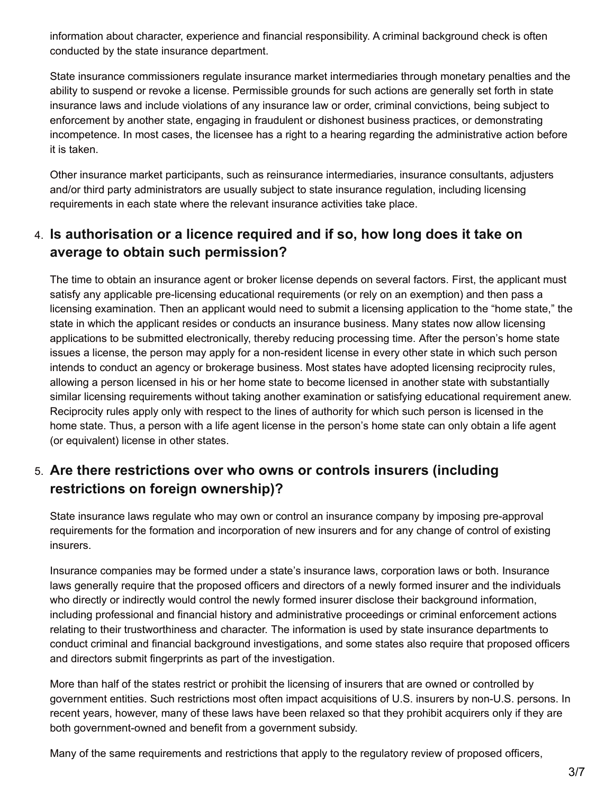information about character, experience and financial responsibility. A criminal background check is often conducted by the state insurance department.

State insurance commissioners regulate insurance market intermediaries through monetary penalties and the ability to suspend or revoke a license. Permissible grounds for such actions are generally set forth in state insurance laws and include violations of any insurance law or order, criminal convictions, being subject to enforcement by another state, engaging in fraudulent or dishonest business practices, or demonstrating incompetence. In most cases, the licensee has a right to a hearing regarding the administrative action before it is taken.

Other insurance market participants, such as reinsurance intermediaries, insurance consultants, adjusters and/or third party administrators are usually subject to state insurance regulation, including licensing requirements in each state where the relevant insurance activities take place.

## 4. **Is authorisation or a licence required and if so, how long does it take on average to obtain such permission?**

The time to obtain an insurance agent or broker license depends on several factors. First, the applicant must satisfy any applicable pre-licensing educational requirements (or rely on an exemption) and then pass a licensing examination. Then an applicant would need to submit a licensing application to the "home state," the state in which the applicant resides or conducts an insurance business. Many states now allow licensing applications to be submitted electronically, thereby reducing processing time. After the person's home state issues a license, the person may apply for a non-resident license in every other state in which such person intends to conduct an agency or brokerage business. Most states have adopted licensing reciprocity rules, allowing a person licensed in his or her home state to become licensed in another state with substantially similar licensing requirements without taking another examination or satisfying educational requirement anew. Reciprocity rules apply only with respect to the lines of authority for which such person is licensed in the home state. Thus, a person with a life agent license in the person's home state can only obtain a life agent (or equivalent) license in other states.

# 5. **Are there restrictions over who owns or controls insurers (including restrictions on foreign ownership)?**

State insurance laws regulate who may own or control an insurance company by imposing pre-approval requirements for the formation and incorporation of new insurers and for any change of control of existing insurers.

Insurance companies may be formed under a state's insurance laws, corporation laws or both. Insurance laws generally require that the proposed officers and directors of a newly formed insurer and the individuals who directly or indirectly would control the newly formed insurer disclose their background information, including professional and financial history and administrative proceedings or criminal enforcement actions relating to their trustworthiness and character. The information is used by state insurance departments to conduct criminal and financial background investigations, and some states also require that proposed officers and directors submit fingerprints as part of the investigation.

More than half of the states restrict or prohibit the licensing of insurers that are owned or controlled by government entities. Such restrictions most often impact acquisitions of U.S. insurers by non-U.S. persons. In recent years, however, many of these laws have been relaxed so that they prohibit acquirers only if they are both government-owned and benefit from a government subsidy.

Many of the same requirements and restrictions that apply to the regulatory review of proposed officers,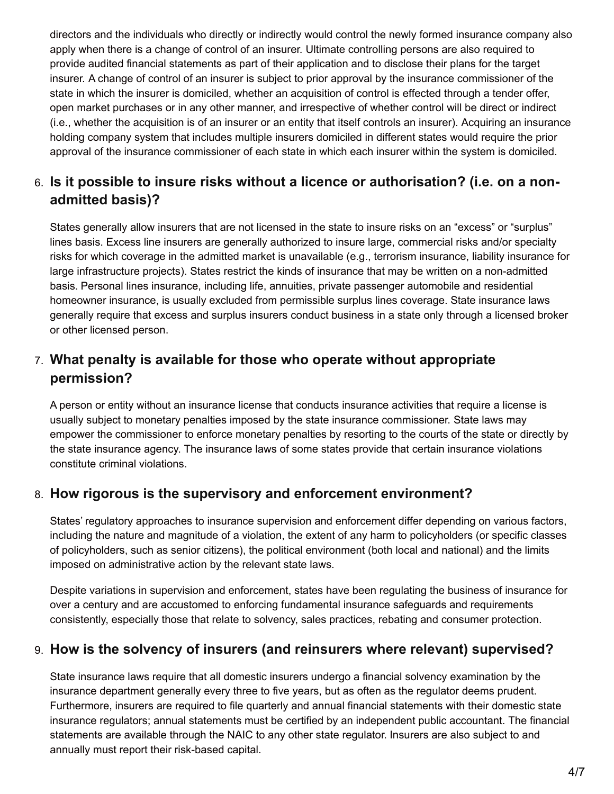directors and the individuals who directly or indirectly would control the newly formed insurance company also apply when there is a change of control of an insurer. Ultimate controlling persons are also required to provide audited financial statements as part of their application and to disclose their plans for the target insurer. A change of control of an insurer is subject to prior approval by the insurance commissioner of the state in which the insurer is domiciled, whether an acquisition of control is effected through a tender offer, open market purchases or in any other manner, and irrespective of whether control will be direct or indirect (i.e., whether the acquisition is of an insurer or an entity that itself controls an insurer). Acquiring an insurance holding company system that includes multiple insurers domiciled in different states would require the prior approval of the insurance commissioner of each state in which each insurer within the system is domiciled.

# 6. **Is it possible to insure risks without a licence or authorisation? (i.e. on a nonadmitted basis)?**

States generally allow insurers that are not licensed in the state to insure risks on an "excess" or "surplus" lines basis. Excess line insurers are generally authorized to insure large, commercial risks and/or specialty risks for which coverage in the admitted market is unavailable (e.g., terrorism insurance, liability insurance for large infrastructure projects). States restrict the kinds of insurance that may be written on a non-admitted basis. Personal lines insurance, including life, annuities, private passenger automobile and residential homeowner insurance, is usually excluded from permissible surplus lines coverage. State insurance laws generally require that excess and surplus insurers conduct business in a state only through a licensed broker or other licensed person.

## 7. **What penalty is available for those who operate without appropriate permission?**

A person or entity without an insurance license that conducts insurance activities that require a license is usually subject to monetary penalties imposed by the state insurance commissioner. State laws may empower the commissioner to enforce monetary penalties by resorting to the courts of the state or directly by the state insurance agency. The insurance laws of some states provide that certain insurance violations constitute criminal violations.

## 8. **How rigorous is the supervisory and enforcement environment?**

States' regulatory approaches to insurance supervision and enforcement differ depending on various factors, including the nature and magnitude of a violation, the extent of any harm to policyholders (or specific classes of policyholders, such as senior citizens), the political environment (both local and national) and the limits imposed on administrative action by the relevant state laws.

Despite variations in supervision and enforcement, states have been regulating the business of insurance for over a century and are accustomed to enforcing fundamental insurance safeguards and requirements consistently, especially those that relate to solvency, sales practices, rebating and consumer protection.

#### 9. **How is the solvency of insurers (and reinsurers where relevant) supervised?**

State insurance laws require that all domestic insurers undergo a financial solvency examination by the insurance department generally every three to five years, but as often as the regulator deems prudent. Furthermore, insurers are required to file quarterly and annual financial statements with their domestic state insurance regulators; annual statements must be certified by an independent public accountant. The financial statements are available through the NAIC to any other state regulator. Insurers are also subject to and annually must report their risk-based capital.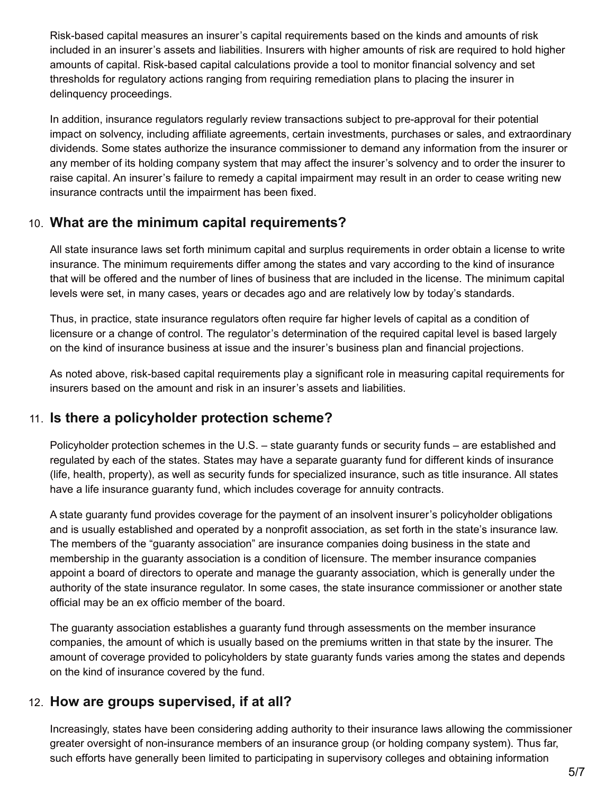Risk-based capital measures an insurer's capital requirements based on the kinds and amounts of risk included in an insurer's assets and liabilities. Insurers with higher amounts of risk are required to hold higher amounts of capital. Risk-based capital calculations provide a tool to monitor financial solvency and set thresholds for regulatory actions ranging from requiring remediation plans to placing the insurer in delinquency proceedings.

In addition, insurance regulators regularly review transactions subject to pre-approval for their potential impact on solvency, including affiliate agreements, certain investments, purchases or sales, and extraordinary dividends. Some states authorize the insurance commissioner to demand any information from the insurer or any member of its holding company system that may affect the insurer's solvency and to order the insurer to raise capital. An insurer's failure to remedy a capital impairment may result in an order to cease writing new insurance contracts until the impairment has been fixed.

#### 10. **What are the minimum capital requirements?**

All state insurance laws set forth minimum capital and surplus requirements in order obtain a license to write insurance. The minimum requirements differ among the states and vary according to the kind of insurance that will be offered and the number of lines of business that are included in the license. The minimum capital levels were set, in many cases, years or decades ago and are relatively low by today's standards.

Thus, in practice, state insurance regulators often require far higher levels of capital as a condition of licensure or a change of control. The regulator's determination of the required capital level is based largely on the kind of insurance business at issue and the insurer's business plan and financial projections.

As noted above, risk-based capital requirements play a significant role in measuring capital requirements for insurers based on the amount and risk in an insurer's assets and liabilities.

#### 11. **Is there a policyholder protection scheme?**

Policyholder protection schemes in the U.S. – state guaranty funds or security funds – are established and regulated by each of the states. States may have a separate guaranty fund for different kinds of insurance (life, health, property), as well as security funds for specialized insurance, such as title insurance. All states have a life insurance guaranty fund, which includes coverage for annuity contracts.

A state guaranty fund provides coverage for the payment of an insolvent insurer's policyholder obligations and is usually established and operated by a nonprofit association, as set forth in the state's insurance law. The members of the "guaranty association" are insurance companies doing business in the state and membership in the guaranty association is a condition of licensure. The member insurance companies appoint a board of directors to operate and manage the guaranty association, which is generally under the authority of the state insurance regulator. In some cases, the state insurance commissioner or another state official may be an ex officio member of the board.

The guaranty association establishes a guaranty fund through assessments on the member insurance companies, the amount of which is usually based on the premiums written in that state by the insurer. The amount of coverage provided to policyholders by state guaranty funds varies among the states and depends on the kind of insurance covered by the fund.

#### 12. **How are groups supervised, if at all?**

Increasingly, states have been considering adding authority to their insurance laws allowing the commissioner greater oversight of non-insurance members of an insurance group (or holding company system). Thus far, such efforts have generally been limited to participating in supervisory colleges and obtaining information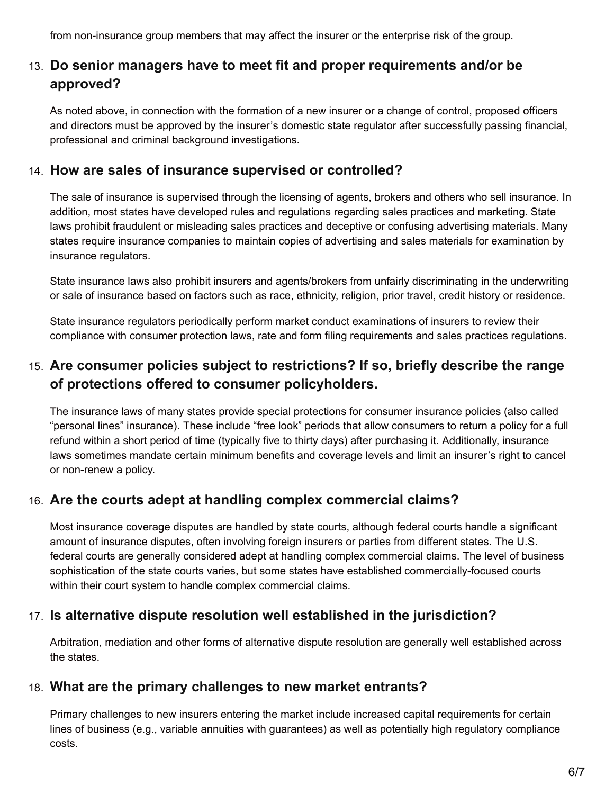from non-insurance group members that may affect the insurer or the enterprise risk of the group.

## 13. **Do senior managers have to meet fit and proper requirements and/or be approved?**

As noted above, in connection with the formation of a new insurer or a change of control, proposed officers and directors must be approved by the insurer's domestic state regulator after successfully passing financial, professional and criminal background investigations.

#### 14. **How are sales of insurance supervised or controlled?**

The sale of insurance is supervised through the licensing of agents, brokers and others who sell insurance. In addition, most states have developed rules and regulations regarding sales practices and marketing. State laws prohibit fraudulent or misleading sales practices and deceptive or confusing advertising materials. Many states require insurance companies to maintain copies of advertising and sales materials for examination by insurance regulators.

State insurance laws also prohibit insurers and agents/brokers from unfairly discriminating in the underwriting or sale of insurance based on factors such as race, ethnicity, religion, prior travel, credit history or residence.

State insurance regulators periodically perform market conduct examinations of insurers to review their compliance with consumer protection laws, rate and form filing requirements and sales practices regulations.

## 15. **Are consumer policies subject to restrictions? If so, briefly describe the range of protections offered to consumer policyholders.**

The insurance laws of many states provide special protections for consumer insurance policies (also called "personal lines" insurance). These include "free look" periods that allow consumers to return a policy for a full refund within a short period of time (typically five to thirty days) after purchasing it. Additionally, insurance laws sometimes mandate certain minimum benefits and coverage levels and limit an insurer's right to cancel or non-renew a policy.

#### 16. **Are the courts adept at handling complex commercial claims?**

Most insurance coverage disputes are handled by state courts, although federal courts handle a significant amount of insurance disputes, often involving foreign insurers or parties from different states. The U.S. federal courts are generally considered adept at handling complex commercial claims. The level of business sophistication of the state courts varies, but some states have established commercially-focused courts within their court system to handle complex commercial claims.

## 17. **Is alternative dispute resolution well established in the jurisdiction?**

Arbitration, mediation and other forms of alternative dispute resolution are generally well established across the states.

#### 18. **What are the primary challenges to new market entrants?**

Primary challenges to new insurers entering the market include increased capital requirements for certain lines of business (e.g., variable annuities with guarantees) as well as potentially high regulatory compliance costs.